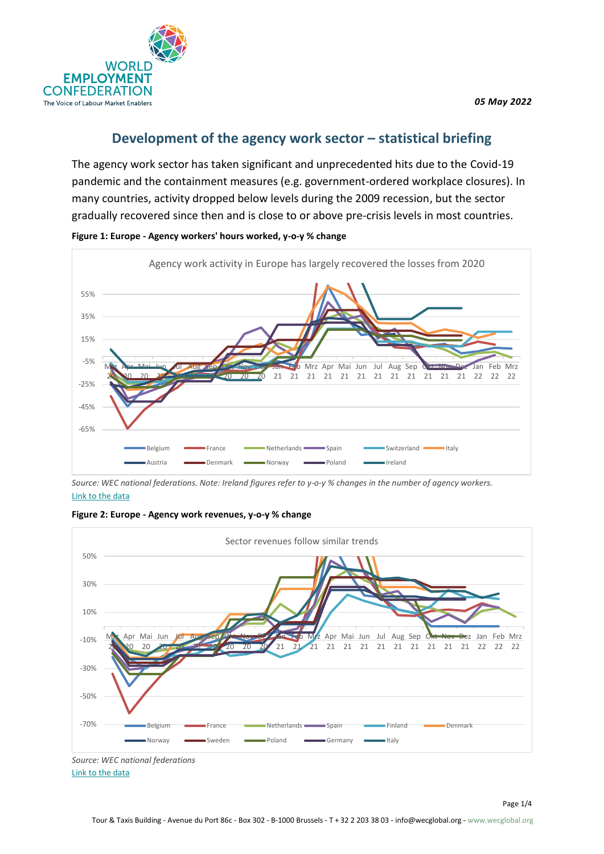



## **Development of the agency work sector – statistical briefing**

The agency work sector has taken significant and unprecedented hits due to the Covid-19 pandemic and the containment measures (e.g. government-ordered workplace closures). In many countries, activity dropped below levels during the 2009 recession, but the sector gradually recovered since then and is close to or above pre-crisis levels in most countries.



**Figure 1: Europe - Agency workers' hours worked, y-o-y % change**

*Source: WEC national federations. Note: Ireland figures refer to y-o-y % changes in the number of agency workers.* [Link to the data](https://infowecglobal.sharepoint.com/:x:/g/EcXamdn20uhNtYJkrsE2DekBTsCF8HgTWQ4zwkj4KJNB8w?rtime=6R9KGfcY2Eg)





*Source: WEC national federations* [Link to the data](https://infowecglobal.sharepoint.com/:x:/g/EcXamdn20uhNtYJkrsE2DekBTsCF8HgTWQ4zwkj4KJNB8w?rtime=6R9KGfcY2Eg)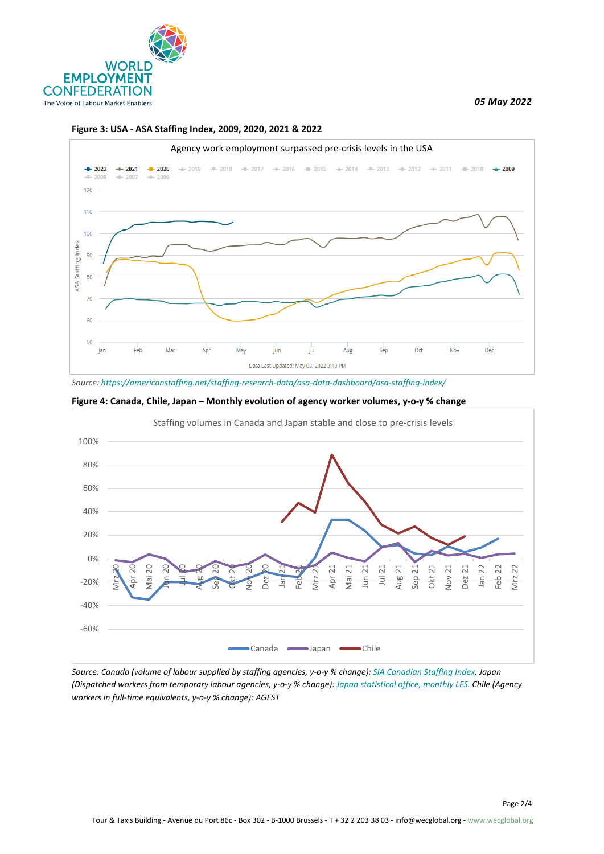

*05 May 2022*





*Source[: https://americanstaffing.net/staffing-research-data/asa-data-dashboard/asa-staffing-index/](https://americanstaffing.net/staffing-research-data/asa-data-dashboard/asa-staffing-index/)*





*Source: Canada (volume of labour supplied by staffing agencies, y-o-y % change): [SIA Canadian Staffing Index.](https://acsess.org/staffing/overview) Japan (Dispatched workers from temporary labour agencies, y-o-y % change)[: Japan statistical office, monthly LFS.](https://www.e-stat.go.jp/en/stat-search/files?page=1&layout=datalist&toukei=00200531&tstat=000000110001&cycle=1&tclass1=000001040276&tclass2=000001040283&tclass3=000001040284&tclass4val=0) Chile (Agency workers in full-time equivalents, y-o-y % change): AGEST*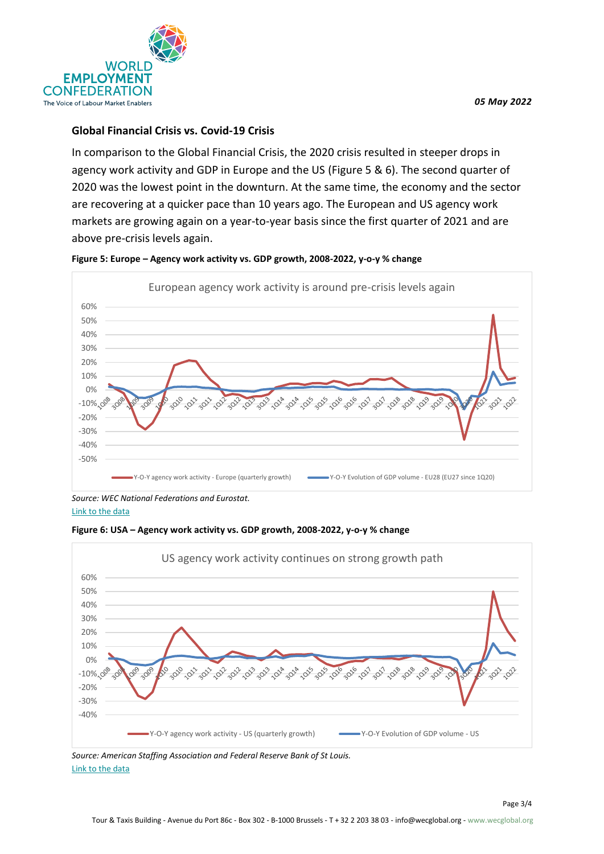

## **Global Financial Crisis vs. Covid-19 Crisis**

In comparison to the Global Financial Crisis, the 2020 crisis resulted in steeper drops in agency work activity and GDP in Europe and the US (Figure 5 & 6). The second quarter of 2020 was the lowest point in the downturn. At the same time, the economy and the sector are recovering at a quicker pace than 10 years ago. The European and US agency work markets are growing again on a year-to-year basis since the first quarter of 2021 and are above pre-crisis levels again.



**Figure 5: Europe – Agency work activity vs. GDP growth, 2008-2022, y-o-y % change**

*Source: WEC National Federations and Eurostat.* [Link to the data](https://infowecglobal.sharepoint.com/:x:/g/EcXamdn20uhNtYJkrsE2DekBTsCF8HgTWQ4zwkj4KJNB8w?rtime=6R9KGfcY2Eg)





*Source: American Staffing Association and Federal Reserve Bank of St Louis.* [Link to the data](https://infowecglobal.sharepoint.com/:x:/g/EcXamdn20uhNtYJkrsE2DekBTsCF8HgTWQ4zwkj4KJNB8w?rtime=6R9KGfcY2Eg)